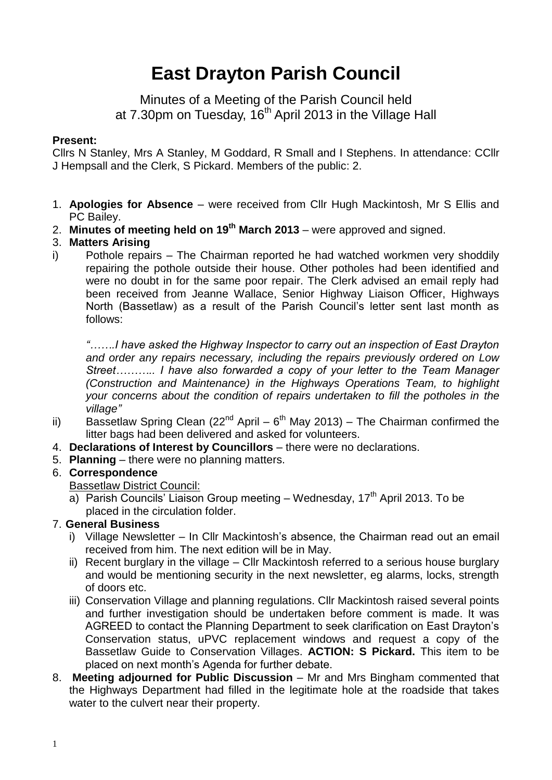# **East Drayton Parish Council**

Minutes of a Meeting of the Parish Council held at 7.30pm on Tuesday, 16<sup>th</sup> April 2013 in the Village Hall

### **Present:**

Cllrs N Stanley, Mrs A Stanley, M Goddard, R Small and I Stephens. In attendance: CCllr J Hempsall and the Clerk, S Pickard. Members of the public: 2.

- 1. **Apologies for Absence** were received from Cllr Hugh Mackintosh, Mr S Ellis and PC Bailey.
- 2. **Minutes of meeting held on 19 th March 2013** were approved and signed.

## 3. **Matters Arising**

i) Pothole repairs – The Chairman reported he had watched workmen very shoddily repairing the pothole outside their house. Other potholes had been identified and were no doubt in for the same poor repair. The Clerk advised an email reply had been received from Jeanne Wallace, Senior Highway Liaison Officer, Highways North (Bassetlaw) as a result of the Parish Council's letter sent last month as follows:

*"…….I have asked the Highway Inspector to carry out an inspection of East Drayton and order any repairs necessary, including the repairs previously ordered on Low Street……….. I have also forwarded a copy of your letter to the Team Manager (Construction and Maintenance) in the Highways Operations Team, to highlight your concerns about the condition of repairs undertaken to fill the potholes in the village"*

- ii) Bassetlaw Spring Clean (22<sup>nd</sup> April  $6<sup>th</sup>$  May 2013) The Chairman confirmed the litter bags had been delivered and asked for volunteers.
- 4. **Declarations of Interest by Councillors**  there were no declarations.
- 5. **Planning**  there were no planning matters.

## 6. **Correspondence**

Bassetlaw District Council:

a) Parish Councils' Liaison Group meeting – Wednesday,  $17<sup>th</sup>$  April 2013. To be placed in the circulation folder.

## 7. **General Business**

- i) Village Newsletter In Cllr Mackintosh's absence, the Chairman read out an email received from him. The next edition will be in May.
- ii) Recent burglary in the village Cllr Mackintosh referred to a serious house burglary and would be mentioning security in the next newsletter, eg alarms, locks, strength of doors etc.
- iii) Conservation Village and planning regulations. Cllr Mackintosh raised several points and further investigation should be undertaken before comment is made. It was AGREED to contact the Planning Department to seek clarification on East Drayton's Conservation status, uPVC replacement windows and request a copy of the Bassetlaw Guide to Conservation Villages. **ACTION: S Pickard.** This item to be placed on next month's Agenda for further debate.
- 8. **Meeting adjourned for Public Discussion** Mr and Mrs Bingham commented that the Highways Department had filled in the legitimate hole at the roadside that takes water to the culvert near their property.